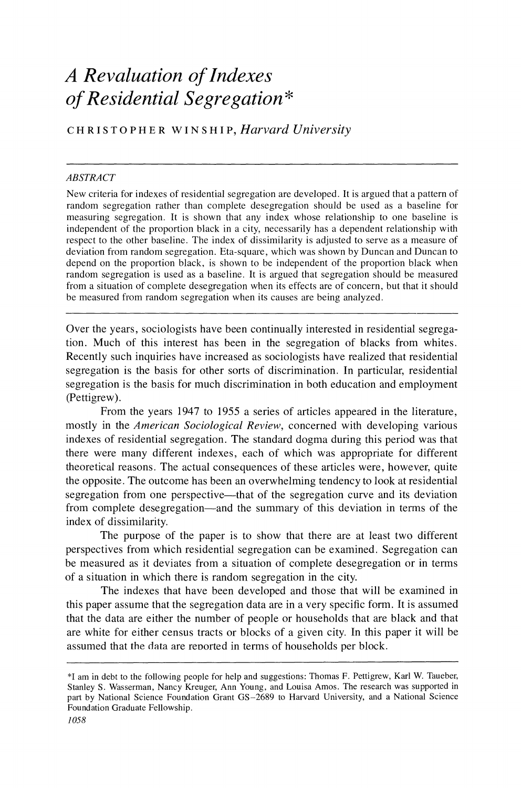# **A Revaluation of Indexes of Residential Segregation\***

**CHRISTOPHER WINSHIP, Harvard University** 

## **ABSTRACT**

**New criteria for indexes of residential segregation are developed. It is argued that a pattern of random segregation rather than complete desegregation should be used as a baseline for measuring segregation. It is shown that any index whose relationship to one baseline is independent of the proportion black in a city, necessarily has a dependent relationship with respect to the other baseline. The index of dissimilarity is adjusted to serve as a measure of deviation from random segregation. Eta-square, which was shown by Duncan and Duncan to depend on the proportion black, is shown to be independent of the proportion black when random segregation is used as a baseline. It is argued that segregation should be measured from a situation of complete desegregation when its effects are of concern, but that it should be measured from random segregation when its causes are being analyzed.** 

**Over the years, sociologists have been continually interested in residential segregation. Much of this interest has been in the segregation of blacks from whites. Recently such inquiries have increased as sociologists have realized that residential segregation is the basis for other sorts of discrimination. In particular, residential segregation is the basis for much discrimination in both education and employment (Pettigrew).** 

**From the years 1947 to 1955 a series of articles appeared in the literature, mostly in the American Sociological Review, concerned with developing various indexes of residential segregation. The standard dogma during this period was that there were many different indexes, each of which was appropriate for different theoretical reasons. The actual consequences of these articles were, however, quite the opposite. The outcome has been an overwhelming tendency to look at residential**  segregation from one perspective—that of the segregation curve and its deviation from complete desegregation—and the summary of this deviation in terms of the **index of dissimilarity.** 

**The purpose of the paper is to show that there are at least two different perspectives from which residential segregation can be examined. Segregation can be measured as it deviates from a situation of complete desegregation or in terms of a situation in which there is random segregation in the city.** 

**The indexes that have been developed and those that will be examined in this paper assume that the segregation data are in a very specific form. It is assumed that the data are either the number of people or households that are black and that are white for either census tracts or blocks of a given city. In this paper it will be assumed that the data are renorted in terms of households per block.** 

**<sup>\*1</sup> am in debt to the following people for help and suggestions: Thomas F. Pettigrew, Karl W. Taueber, Stanley S. Wasserman, Nancy Kreuger, Ann Young, and Louisa Amos. The research was supported in part by National Science Foundation Grant GS-2689 to Harvard University, and a National Science Foundation Graduate Fellowship.**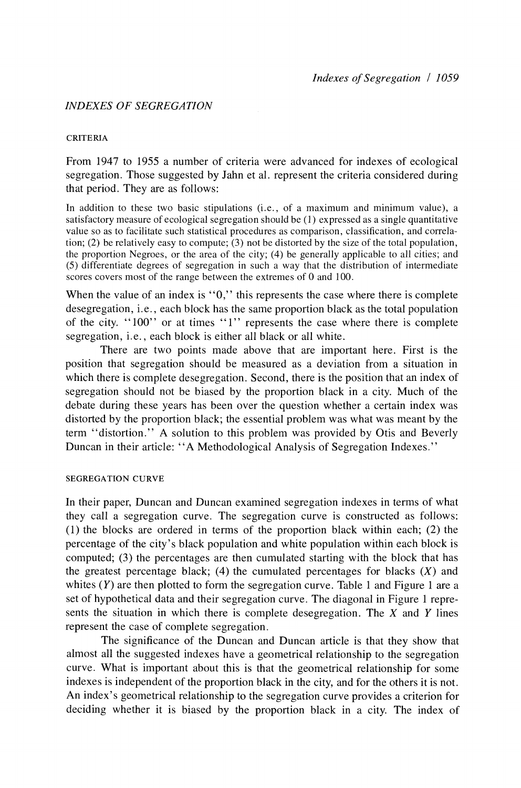# **INDEXES OF SEGREGATION**

#### **CRITERIA**

**From 1947 to 1955 a number of criteria were advanced for indexes of ecological segregation. Those suggested by Jahn et al. represent the criteria considered during that period. They are as follows:** 

**In addition to these two basic stipulations (i.e., of a maximum and minimum value), a satisfactory measure of ecological segregation should be (1) expressed as a single quantitative value so as to facilitate such statistical procedures as comparison, classification, and correlation; (2) be relatively easy to compute; (3) not be distorted by the size of the total population, the proportion Negroes, or the area of the city; (4) be generally applicable to all cities; and (5) differentiate degrees of segregation in such a way that the distribution of intermediate scores covers most of the range between the extremes of 0 and 100.** 

When the value of an index is "0," this represents the case where there is complete **desegregation, i.e., each block has the same proportion black as the total population of the city. "100" or at times "1" represents the case where there is complete segregation, i.e., each block is either all black or all white.** 

**There are two points made above that are important here. First is the position that segregation should be measured as a deviation from a situation in which there is complete desegregation. Second, there is the position that an index of segregation should not be biased by the proportion black in a city. Much of the debate during these years has been over the question whether a certain index was distorted by the proportion black; the essential problem was what was meant by the term "distortion." A solution to this problem was provided by Otis and Beverly Duncan in their article: "A Methodological Analysis of Segregation Indexes."** 

#### **SEGREGATION CURVE**

**In their paper, Duncan and Duncan examined segregation indexes in terms of what they call a segregation curve. The segregation curve is constructed as follows: (1) the blocks are ordered in terms of the proportion black within each; (2) the percentage of the city's black population and white population within each block is computed; (3) the percentages are then cumulated starting with the block that has**  the greatest percentage black;  $(4)$  the cumulated percentages for blacks  $(X)$  and **whites (Y) are then plotted to form the segregation curve. Table 1 and Figure 1 are a set of hypothetical data and their segregation curve. The diagonal in Figure 1 represents the situation in which there is complete desegregation. The X and Y lines represent the case of complete segregation.** 

**The significance of the Duncan and Duncan article is that they show that almost all the suggested indexes have a geometrical relationship to the segregation curve. What is important about this is that the geometrical relationship for some indexes is independent of the proportion black in the city, and for the others it is not. An index's geometrical relationship to the segregation curve provides a criterion for deciding whether it is biased by the proportion black in a city. The index of**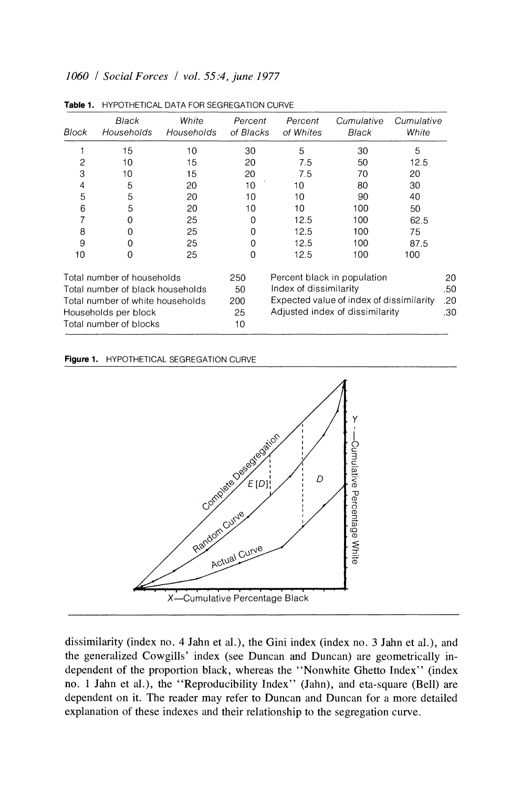## **1060 / Social Forces / vol. 55:4, june 1977**

| Block                            | Black<br>Households | White<br>Households | Percent<br>of Blacks | Percent<br>of Whites                     | Cumulative<br>Black | Cumulative<br>White |     |
|----------------------------------|---------------------|---------------------|----------------------|------------------------------------------|---------------------|---------------------|-----|
|                                  | 15                  | 10                  | 30                   | 5                                        | 30                  | 5                   |     |
| 2                                | 10                  | 15                  | 20                   | 7.5                                      | 50                  | 12.5                |     |
| 3                                | 10                  | 15                  | 20                   | 7.5                                      | 70                  | 20                  |     |
| 4                                | 5                   | 20                  | 10                   | 10                                       | 80                  | 30                  |     |
| 5                                | 5                   | 20                  | 10                   | 10                                       | 90                  | 40                  |     |
| 6                                | 5                   | 20                  | 10                   | 10                                       | 100                 | 50                  |     |
|                                  | 0                   | 25                  | 0                    | 12.5                                     | 100                 | 62.5                |     |
| 8                                | 0                   | 25                  | Ω                    | 12.5                                     | 100                 | 75                  |     |
| 9                                | O                   | 25                  | Ω                    | 12.5                                     | 100                 | 87.5                |     |
| 10                               | 0                   | 25                  | 0                    | 12.5                                     | 100                 | 100                 |     |
| Total number of households       |                     |                     | 250                  | Percent black in population              |                     |                     | 20  |
| Total number of black households |                     |                     | 50                   | Index of dissimilarity                   |                     |                     | .50 |
| Total number of white households |                     |                     | 200                  | Expected value of index of dissimilarity |                     |                     | .20 |
| Households per block             |                     |                     | 25                   | Adjusted index of dissimilarity          |                     |                     | .30 |
| Total number of blocks           |                     |                     | 10                   |                                          |                     |                     |     |

**Table 1. HYPOTHETICAL DATA FOR SEGREGATION CURVE** 





**dissimilarity (index no. 4 Jahn et al.), the Gini index (index no. 3 Jahn et al.), and the generalized Cowgills' index (see Duncan and Duncan) are geometrically independent of the proportion black, whereas the "Nonwhite Ghetto Index" (index no. 1 Jahn et al.), the "Reproducibility Index" (Jahn), and eta-square (Bell) are dependent on it. The reader may refer to Duncan and Duncan for a more detailed explanation of these indexes and their relationship to the segregation curve.**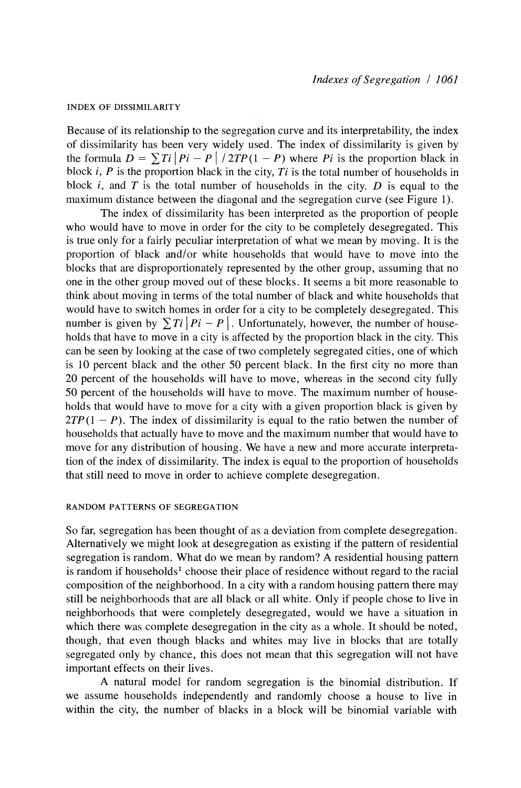## **INDEX OF DISSIMILARITY**

**Because of its relationship to the segregation curve and its interpretability, the index of dissimilarity has been very widely used. The index of dissimilarity is given by**  the formula  $D = \sum T_i |P_i - P| / 2TP(1 - P)$  where Pi is the proportion black in **block i, P is the proportion black in the city, Ti is the total number of households in**  block  $i$ , and  $T$  is the total number of households in the city.  $D$  is equal to the **maximum distance between the diagonal and the segregation curve (see Figure 1).** 

**The index of dissimilarity has been interpreted as the proportion of people who would have to move in order for the city to be completely desegregated. This is true only for a fairly peculiar interpretation of what we mean by moving. It is the proportion of black and/or white households that would have to move into the blocks that are disproportionately represented by the other group, assuming that no one in the other group moved out of these blocks. It seems a bit more reasonable to think about moving in terms of the total number of black and white households that would have to switch homes in order for a city to be completely desegregated. This number is given by**  $\sum T_i |Pi - P|$ . Unfortunately, however, the number of house**holds that have to move in a city is affected by the proportion black in the city. This can be seen by looking at the case of two completely segregated cities, one of which is 10 percent black and the other 50 percent black. In the first city no more than 20 percent of the households will have to move, whereas in the second city fully 50 percent of the households will have to move. The maximum number of households that would have to move for a city with a given proportion black is given by**   $2TP(1 - P)$ . The index of dissimilarity is equal to the ratio betwen the number of **households that actually have to move and the maximum number that would have to move for any distribution of housing. We have a new and more accurate interpretation of the index of dissimilarity. The index is equal to the proportion of households that still need to move in order to achieve complete desegregation.** 

## **RANDOM PATTERNS OF SEGREGATION**

**So far, segregation has been thought of as a deviation from complete desegregation. Alternatively we might look at desegregation as existing if the pattern of residential segregation is random. What do we mean by random? A residential housing pattern is random if households' choose their place of residence without regard to the racial composition of the neighborhood. In a city with a random housing pattern there may still be neighborhoods that are all black or all white. Only if people chose to live in neighborhoods that were completely desegregated, would we have a situation in which there was complete desegregation in the city as a whole. It should be noted, though, that even though blacks and whites may live in blocks that are totally segregated only by chance, this does not mean that this segregation will not have important effects on their lives.** 

**A natural model for random segregation is the binomial distribution. If we assume households independently and randomly choose a house to live in within the city, the number of blacks in a block will be binomial variable with**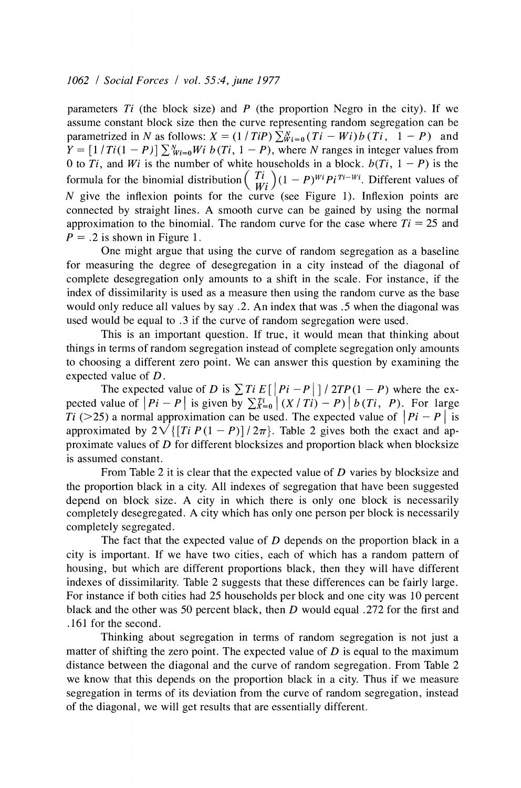# **1062 / Social Forces / vol. 55:4, june 1977**

**parameters Ti (the block size) and P (the proportion Negro in the city). If we assume constant block size then the curve representing random segregation can be parametrized in** N as follows:  $X = (1 / TiP) \sum_{W_i=0}^{N} (Ti - Wi) b (Ti, 1 - P)$  and  $Y = \left[1 / Ti(1 - P)\right] \sum_{W_i=0}^{N} Wi \, b(T_i, 1 - P)$ , where *N* ranges in integer values from 0 to *Ti*, and *Wi* is the number of white households in a block.  $b(T_i, 1 - P)$  is the **formula for the binomial distribution**  $\left(\begin{array}{c} Ti \\ Wi \end{array}\right) (1 - P)^{Wi} P i^{Ti-Wi}$ . Different values of **N give the inflexion points for the curve (see Figure 1). Inflexion points are connected by straight lines. A smooth curve can be gained by using the normal**  approximation to the binomial. The random curve for the case where  $Ti = 25$  and  $P = .2$  is shown in Figure 1.

**One might argue that using the curve of random segregation as a baseline for measuring the degree of desegregation in a city instead of the diagonal of complete desegregation only amounts to a shift in the scale. For instance, if the index of dissimilarity is used as a measure then using the random curve as the base would only reduce all values by say .2. An index that was .5 when the diagonal was used would be equal to .3 if the curve of random segregation were used.** 

**This is an important question. If true, it would mean that thinking about things in terms of random segregation instead of complete segregation only amounts to choosing a different zero point. We can answer this question by examining the expected value of D.** 

The expected value of D is  $\sum T_i E[|Pi - P|]/2TP(1 - P)$  where the ex**pected value of**  $|Pi - P|$  **is given by**  $\sum_{x=0}^{T_i} |(X/T_i) - P| |b(T_i, P)|$ **. For large** Ti ( $>$ 25) a normal approximation can be used. The expected value of  $|Pi - P|$  is approximated by  $2\sqrt{\{(Ti P(1-P)) | 2\pi\}}$ . Table 2 gives both the exact and ap**proximate values of D for different blocksizes and proportion black when blocksize is assumed constant.** 

**From Table 2 it is clear that the expected value of D varies by blocksize and the proportion black in a city. All indexes of segregation that have been suggested depend on block size. A city in which there is only one block is necessarily completely desegregated. A city which has only one person per block is necessarily completely segregated.** 

**The fact that the expected value of D depends on the proportion black in a city is important. If we have two cities, each of which has a random pattern of housing, but which are different proportions black, then they will have different indexes of dissimilarity. Table 2 suggests that these differences can be fairly large. For instance if both cities had 25 households per block and one city was 10 percent black and the other was 50 percent black, then D would equal .272 for the first and .161 for the second.** 

**Thinking about segregation in terms of random segregation is not just a matter of shifting the zero point. The expected value of D is equal to the maximum distance between the diagonal and the curve of random segregation. From Table 2 we know that this depends on the proportion black in a city. Thus if we measure segregation in terms of its deviation from the curve of random segregation, instead of the diagonal, we will get results that are essentially different.**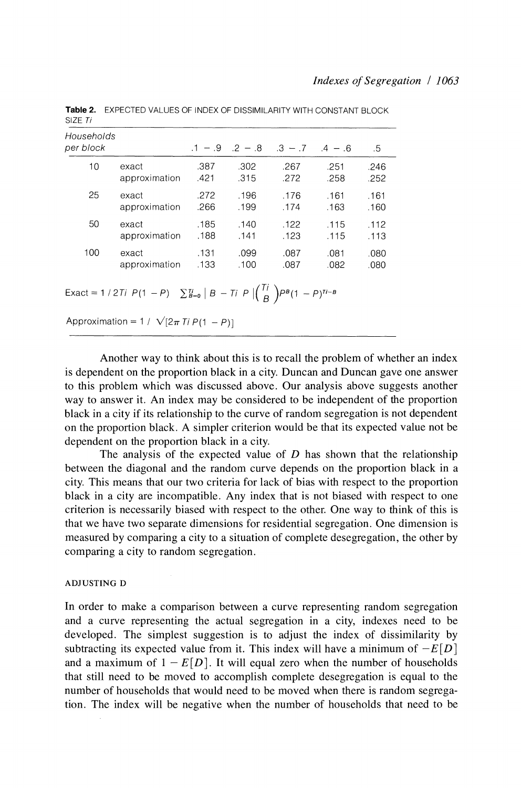| Households<br>per block |               | $.1 - .9$ | $-2 - 8$ | $.3 - .7$ | $.4 - .6$ | .5   |
|-------------------------|---------------|-----------|----------|-----------|-----------|------|
| 10                      | exact         | .387      | .302     | .267      | .251      | .246 |
|                         | approximation | .421      | .315     | .272      | .258      | .252 |
| 25                      | exact         | .272      | .196     | .176      | .161      | .161 |
|                         | approximation | .266      | .199     | .174      | .163      | .160 |
| 50                      | exact         | .185      | .140     | .122      | .115      | .112 |
|                         | approximation | .188      | .141     | .123      | .115      | .113 |
| 100                     | exact         | .131      | .099     | .087      | .081      | .080 |
|                         | approximation | .133      | .100     | .087      | .082      | .080 |

**Table 2. EXPECTED VALUES OF INDEX OF DISSIMILARITY WITH CONSTANT BLOCK SIZE Ti** 

**Exact = 1** / 2Ti  $P(1 - P)$   $\sum_{B=0}^{T_i} |B - Ti| P | (\frac{T_i}{B}) P^{B} (1 - P)^{T_i - B}$ 

Approximation =  $1 / \sqrt{2\pi T i P(1 - P)}$ 

**Another way to think about this is to recall the problem of whether an index is dependent on the proportion black in a city. Duncan and Duncan gave one answer to this problem which was discussed above. Our analysis above suggests another way to answer it. An index may be considered to be independent of the proportion black in a city if its relationship to the curve of random segregation is not dependent on the proportion black. A simpler criterion would be that its expected value not be dependent on the proportion black in a city.** 

**The analysis of the expected value of D has shown that the relationship between the diagonal and the random curve depends on the proportion black in a city. This means that our two criteria for lack of bias with respect to the proportion black in a city are incompatible. Any index that is not biased with respect to one criterion is necessarily biased with respect to the other. One way to think of this is that we have two separate dimensions for residential segregation. One dimension is measured by comparing a city to a situation of complete desegregation, the other by comparing a city to random segregation.** 

## **ADJUSTING D**

**In order to make a comparison between a curve representing random segregation and a curve representing the actual segregation in a city, indexes need to be developed. The simplest suggestion is to adjust the index of dissimilarity by**  subtracting its expected value from it. This index will have a minimum of  $-E[D]$ and a maximum of  $1 - E[D]$ . It will equal zero when the number of households **that still need to be moved to accomplish complete desegregation is equal to the number of households that would need to be moved when there is random segregation. The index will be negative when the number of households that need to be**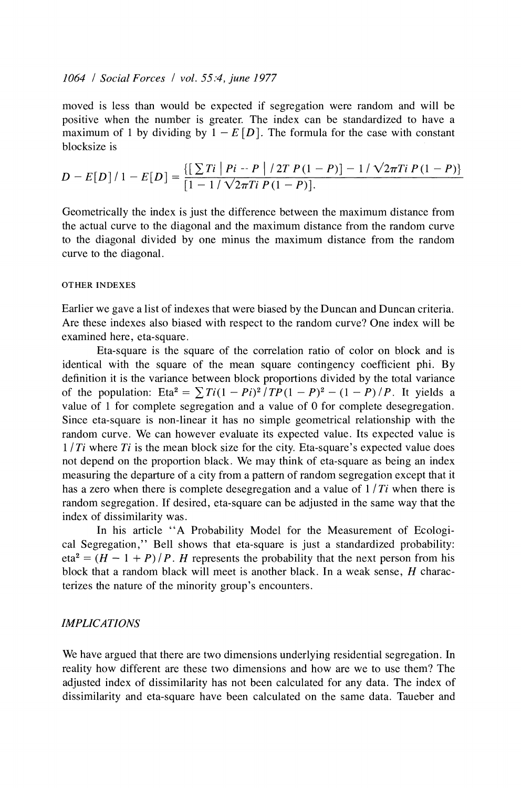**moved is less than would be expected if segregation were random and will be positive when the number is greater. The index can be standardized to have a**  maximum of 1 by dividing by  $1 - E[D]$ . The formula for the case with constant **blocksize is** 

$$
D - E[D]/1 - E[D] = \frac{\{[\sum Ti \mid Pi - P \mid /2T \ P(1 - P)] - 1 / \sqrt{2\pi Ti \ P(1 - P)}\}}{[1 - 1 / \sqrt{2\pi Ti \ P(1 - P)}]}.
$$

**Geometrically the index is just the difference between the maximum distance from the actual curve to the diagonal and the maximum distance from the random curve to the diagonal divided by one minus the maximum distance from the random curve to the diagonal.** 

## **OTHER INDEXES**

**Earlier we gave a list of indexes that were biased by the Duncan and Duncan criteria. Are these indexes also biased with respect to the random curve? One index will be examined here, eta-square.** 

**Eta-square is the square of the correlation ratio of color on block and is identical with the square of the mean square contingency coefficient phi. By definition it is the variance between block proportions divided by the total variance**  of the population: Eta<sup>2</sup> =  $\sum T i(1 - Pi)^2 / TP(1 - P)^2 - (1 - P) / P$ . It yields a **value of 1 for complete segregation and a value of 0 for complete desegregation. Since eta-square is non-linear it has no simple geometrical relationship with the random curve. We can however evaluate its expected value. Its expected value is 1 /Ti where Ti is the mean block size for the city. Eta-square's expected value does not depend on the proportion black. We may think of eta-square as being an index measuring the departure of a city from a pattern of random segregation except that it has a zero when there is complete desegregation and a value of 1 / Ti when there is random segregation. If desired, eta-square can be adjusted in the same way that the index of dissimilarity was.** 

**In his article "A Probability Model for the Measurement of Ecological Segregation," Bell shows that eta-square is just a standardized probability:**   $eta^2 = (H - 1 + P)/P$ . H represents the probability that the next person from his **block that a random black will meet is another black. In a weak sense, H characterizes the nature of the minority group's encounters.** 

# **IMPLICATIONS**

**We have argued that there are two dimensions underlying residential segregation. In reality how different are these two dimensions and how are we to use them? The adjusted index of dissimilarity has not been calculated for any data. The index of dissimilarity and eta-square have been calculated on the same data. Taueber and**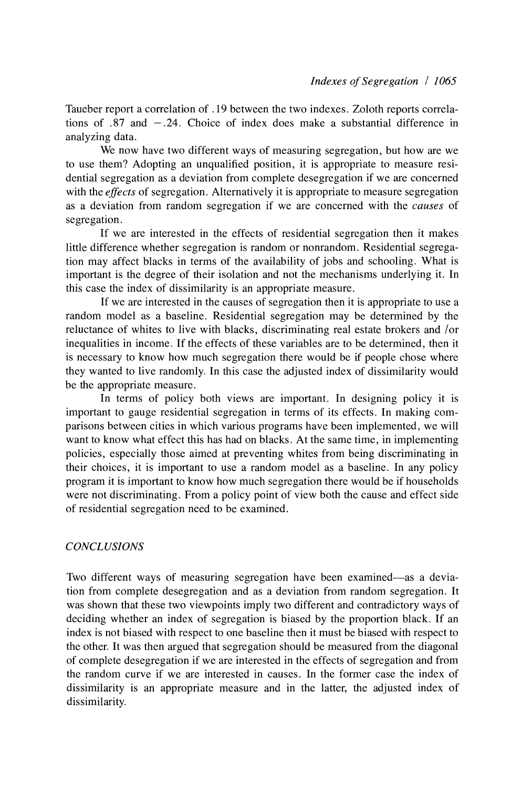**Taueber report a correlation of .19 between the two indexes. Zoloth reports correlations of .87 and -.24. Choice of index does make a substantial difference in analyzing data.** 

**We now have two different ways of measuring segregation, but how are we to use them? Adopting an unqualified position, it is appropriate to measure residential segregation as a deviation from complete desegregation if we are concerned with the effects of segregation. Alternatively it is appropriate to measure segregation as a deviation from random segregation if we are concerned with the causes of segregation.** 

**If we are interested in the effects of residential segregation then it makes little difference whether segregation is random or nonrandom. Residential segregation may affect blacks in terms of the availability of jobs and schooling. What is important is the degree of their isolation and not the mechanisms underlying it. In this case the index of dissimilarity is an appropriate measure.** 

**If we are interested in the causes of segregation then it is appropriate to use a random model as a baseline. Residential segregation may be determined by the reluctance of whites to live with blacks, discriminating real estate brokers and /or inequalities in income. If the effects of these variables are to be determined, then it is necessary to know how much segregation there would be if people chose where they wanted to live randomly. In this case the adjusted index of dissimilarity would be the appropriate measure.** 

**In terms of policy both views are important. In designing policy it is important to gauge residential segregation in terms of its effects. In making comparisons between cities in which various programs have been implemented, we will want to know what effect this has had on blacks. At the same time, in implementing policies, especially those aimed at preventing whites from being discriminating in their choices, it is important to use a random model as a baseline. In any policy program it is important to know how much segregation there would be if households were not discriminating. From a policy point of view both the cause and effect side of residential segregation need to be examined.** 

# **CONCLUSIONS**

Two different ways of measuring segregation have been examined—as a devia**tion from complete desegregation and as a deviation from random segregation. It was shown that these two viewpoints imply two different and contradictory ways of deciding whether an index of segregation is biased by the proportion black. If an index is not biased with respect to one baseline then it must be biased with respect to the other. It was then argued that segregation should be measured from the diagonal of complete desegregation if we are interested in the effects of segregation and from the random curve if we are interested in causes. In the former case the index of dissimilarity is an appropriate measure and in the latter, the adjusted index of dissimilarity.**